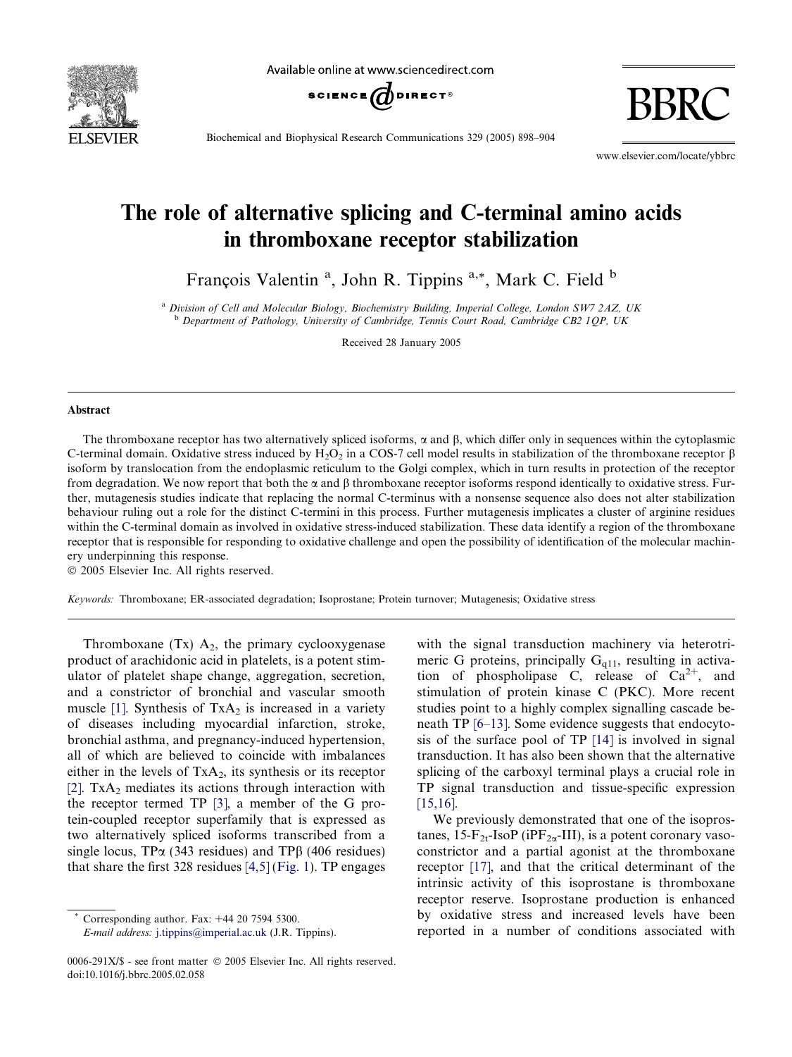

Available online at www.sciencedirect.com



BBRC

Biochemical and Biophysical Research Communications 329 (2005) 898–904

www.elsevier.com/locate/ybbrc

# The role of alternative splicing and C-terminal amino acids in thromboxane receptor stabilization

François Valentin<sup>a</sup>, John R. Tippins<sup>a,\*</sup>, Mark C. Field <sup>b</sup>

<sup>a</sup> Division of Cell and Molecular Biology, Biochemistry Building, Imperial College, London SW7 2AZ, UK  $b$  Department of Pathology, University of Cambridge, Tennis Court Road, Cambridge CB2 10P, UK

Received 28 January 2005

#### Abstract

The thromboxane receptor has two alternatively spliced isoforms,  $\alpha$  and  $\beta$ , which differ only in sequences within the cytoplasmic C-terminal domain. Oxidative stress induced by H<sub>2</sub>O<sub>2</sub> in a COS-7 cell model results in stabilization of the thromboxane receptor  $\beta$ isoform by translocation from the endoplasmic reticulum to the Golgi complex, which in turn results in protection of the receptor from degradation. We now report that both the  $\alpha$  and  $\beta$  thromboxane receptor isoforms respond identically to oxidative stress. Further, mutagenesis studies indicate that replacing the normal C-terminus with a nonsense sequence also does not alter stabilization behaviour ruling out a role for the distinct C-termini in this process. Further mutagenesis implicates a cluster of arginine residues within the C-terminal domain as involved in oxidative stress-induced stabilization. These data identify a region of the thromboxane receptor that is responsible for responding to oxidative challenge and open the possibility of identification of the molecular machinery underpinning this response.

2005 Elsevier Inc. All rights reserved.

Keywords: Thromboxane; ER-associated degradation; Isoprostane; Protein turnover; Mutagenesis; Oxidative stress

Thromboxane (Tx)  $A_2$ , the primary cyclooxygenase product of arachidonic acid in platelets, is a potent stimulator of platelet shape change, aggregation, secretion, and a constrictor of bronchial and vascular smooth muscle [\[1\]](#page-5-0). Synthesis of  $TxA_2$  is increased in a variety of diseases including myocardial infarction, stroke, bronchial asthma, and pregnancy-induced hypertension, all of which are believed to coincide with imbalances either in the levels of  $TxA_2$ , its synthesis or its receptor [\[2\]](#page-5-0).  $TxA<sub>2</sub>$  mediates its actions through interaction with the receptor termed TP [\[3\],](#page-5-0) a member of the G protein-coupled receptor superfamily that is expressed as two alternatively spliced isoforms transcribed from a single locus,  $TP\alpha$  (343 residues) and  $TP\beta$  (406 residues) that share the first 328 residues  $[4,5]$  [\(Fig. 1\)](#page-1-0). TP engages

with the signal transduction machinery via heterotrimeric G proteins, principally  $G<sub>q11</sub>$ , resulting in activation of phospholipase C, release of  $Ca^{2+}$ , and stimulation of protein kinase C (PKC). More recent studies point to a highly complex signalling cascade beneath TP [\[6–13\]](#page-6-0). Some evidence suggests that endocytosis of the surface pool of TP [\[14\]](#page-6-0) is involved in signal transduction. It has also been shown that the alternative splicing of the carboxyl terminal plays a crucial role in TP signal transduction and tissue-specific expression [\[15,16\].](#page-6-0)

We previously demonstrated that one of the isoprostanes,  $15-F_{2t}$ -IsoP (iPF<sub>2 $\alpha$ </sub>-III), is a potent coronary vasoconstrictor and a partial agonist at the thromboxane receptor [\[17\],](#page-6-0) and that the critical determinant of the intrinsic activity of this isoprostane is thromboxane receptor reserve. Isoprostane production is enhanced by oxidative stress and increased levels have been reported in a number of conditions associated with

Corresponding author. Fax:  $+44$  20 7594 5300.

E-mail address: [j.tippins@imperial.ac.uk](mailto:j.tippins@imperial.ac.uk) (J.R. Tippins).

<sup>0006-291</sup>X/\$ - see front matter © 2005 Elsevier Inc. All rights reserved. doi:10.1016/j.bbrc.2005.02.058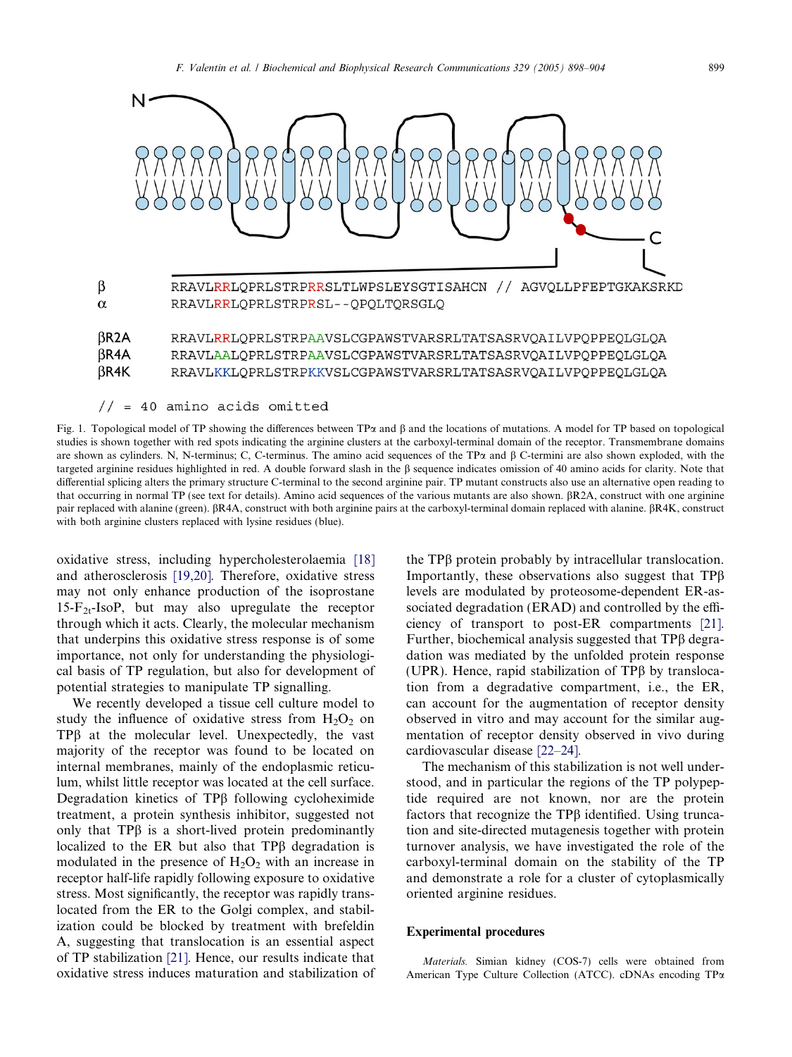<span id="page-1-0"></span>

| $\beta$ R2A | RRAVLRRLOPRLSTRP <del>AA</del> VSLCGPAWSTVARSRLTATSASRVOAILVPOPPEOLGLOA |
|-------------|-------------------------------------------------------------------------|
| $\beta$ R4A | RRAVLAALOPRLSTRPAAVSLCGPAWSTVARSRLTATSASRVOAILVPOPPEOLGLOA              |
| $\beta$ R4K | RRAVLKKLOPRLSTRPKKVSLCGPAWSTVARSRLTATSASRVOAILVPOPPEOLGLOA              |

 $// = 40$  amino acids omitted

Fig. 1. Topological model of TP showing the differences between TP $\alpha$  and  $\beta$  and the locations of mutations. A model for TP based on topological studies is shown together with red spots indicating the arginine clusters at the carboxyl-terminal domain of the receptor. Transmembrane domains are shown as cylinders. N, N-terminus; C, C-terminus. The amino acid sequences of the TP $\alpha$  and  $\beta$  C-termini are also shown exploded, with the targeted arginine residues highlighted in red. A double forward slash in the b sequence indicates omission of 40 amino acids for clarity. Note that differential splicing alters the primary structure C-terminal to the second arginine pair. TP mutant constructs also use an alternative open reading to that occurring in normal TP (see text for details). Amino acid sequences of the various mutants are also shown. βR2A, construct with one arginine pair replaced with alanine (green).  $\beta R4A$ , construct with both arginine pairs at the carboxyl-terminal domain replaced with alanine.  $\beta R4K$ , construct with both arginine clusters replaced with lysine residues (blue).

oxidative stress, including hypercholesterolaemia [\[18\]](#page-6-0) and atherosclerosis [\[19,20\]](#page-6-0). Therefore, oxidative stress may not only enhance production of the isoprostane  $15-F_{2t}$ -IsoP, but may also upregulate the receptor through which it acts. Clearly, the molecular mechanism that underpins this oxidative stress response is of some importance, not only for understanding the physiological basis of TP regulation, but also for development of potential strategies to manipulate TP signalling.

We recently developed a tissue cell culture model to study the influence of oxidative stress from  $H_2O_2$  on  $TP\beta$  at the molecular level. Unexpectedly, the vast majority of the receptor was found to be located on internal membranes, mainly of the endoplasmic reticulum, whilst little receptor was located at the cell surface. Degradation kinetics of TP<sub>B</sub> following cycloheximide treatment, a protein synthesis inhibitor, suggested not only that  $TP\beta$  is a short-lived protein predominantly localized to the ER but also that  $TP\beta$  degradation is modulated in the presence of  $H_2O_2$  with an increase in receptor half-life rapidly following exposure to oxidative stress. Most significantly, the receptor was rapidly translocated from the ER to the Golgi complex, and stabilization could be blocked by treatment with brefeldin A, suggesting that translocation is an essential aspect of TP stabilization [\[21\].](#page-6-0) Hence, our results indicate that oxidative stress induces maturation and stabilization of the TPb protein probably by intracellular translocation. Importantly, these observations also suggest that  $TP\beta$ levels are modulated by proteosome-dependent ER-associated degradation (ERAD) and controlled by the efficiency of transport to post-ER compartments [\[21\].](#page-6-0) Further, biochemical analysis suggested that TPB degradation was mediated by the unfolded protein response (UPR). Hence, rapid stabilization of TP $\beta$  by translocation from a degradative compartment, i.e., the ER, can account for the augmentation of receptor density observed in vitro and may account for the similar augmentation of receptor density observed in vivo during cardiovascular disease [\[22–24\]](#page-6-0).

The mechanism of this stabilization is not well understood, and in particular the regions of the TP polypeptide required are not known, nor are the protein factors that recognize the  $TP\beta$  identified. Using truncation and site-directed mutagenesis together with protein turnover analysis, we have investigated the role of the carboxyl-terminal domain on the stability of the TP and demonstrate a role for a cluster of cytoplasmically oriented arginine residues.

#### Experimental procedures

Materials. Simian kidney (COS-7) cells were obtained from American Type Culture Collection (ATCC). cDNAs encoding TPa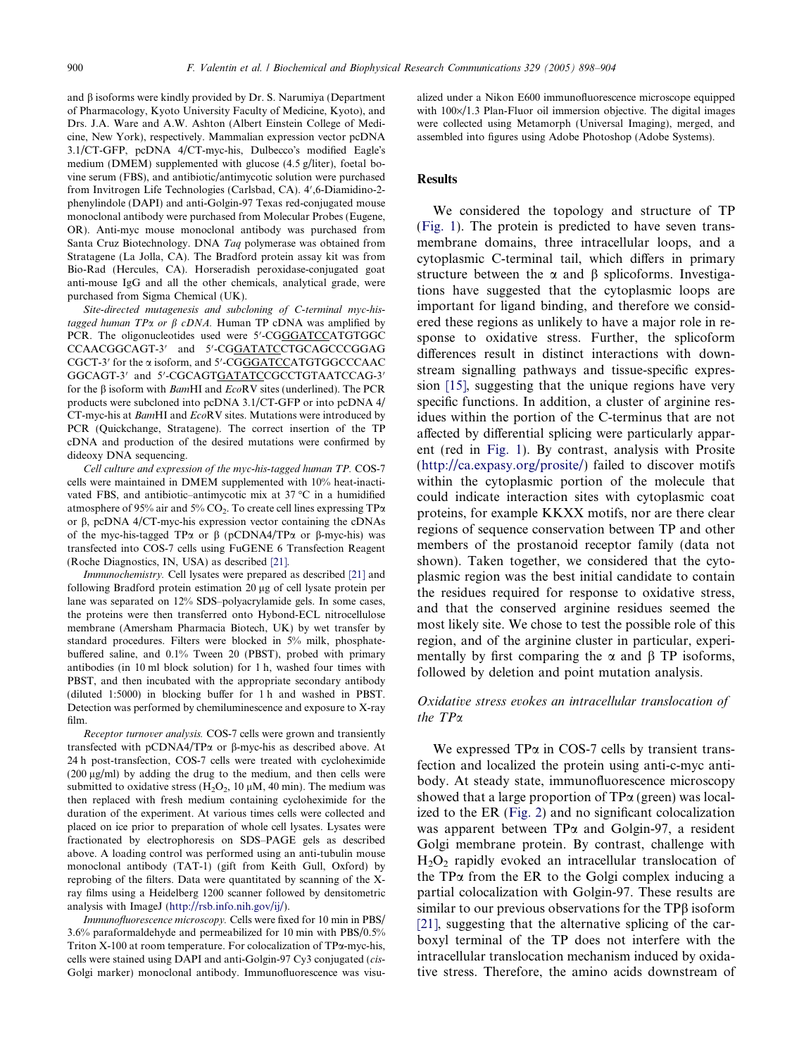and  $\beta$  isoforms were kindly provided by Dr. S. Narumiya (Department of Pharmacology, Kyoto University Faculty of Medicine, Kyoto), and Drs. J.A. Ware and A.W. Ashton (Albert Einstein College of Medicine, New York), respectively. Mammalian expression vector pcDNA 3.1/CT-GFP, pcDNA 4/CT-myc-his, Dulbecco's modified Eagle's medium (DMEM) supplemented with glucose (4.5 g/liter), foetal bovine serum (FBS), and antibiotic/antimycotic solution were purchased from Invitrogen Life Technologies (Carlsbad, CA). 4',6-Diamidino-2phenylindole (DAPI) and anti-Golgin-97 Texas red-conjugated mouse monoclonal antibody were purchased from Molecular Probes (Eugene, OR). Anti-myc mouse monoclonal antibody was purchased from Santa Cruz Biotechnology. DNA Tag polymerase was obtained from Stratagene (La Jolla, CA). The Bradford protein assay kit was from Bio-Rad (Hercules, CA). Horseradish peroxidase-conjugated goat anti-mouse IgG and all the other chemicals, analytical grade, were purchased from Sigma Chemical (UK).

Site-directed mutagenesis and subcloning of C-terminal myc-histagged human TP $\alpha$  or  $\beta$  cDNA. Human TP cDNA was amplified by PCR. The oligonucleotides used were 5'-CGGGATCCATGTGGC CCAACGGCAGT-3' and 5'-CG<u>GATATC</u>CTGCAGCCCGGAG CGCT-3' for the a isoform, and 5'-CGGGATCCATGTGGCCCAAC GGCAGT-3' and 5'-CGCAGT<u>GATATC</u>CGCCTGTAATCCAG-3' for the  $\beta$  isoform with *BamHI* and *EcoRV* sites (underlined). The PCR products were subcloned into pcDNA 3.1/CT-GFP or into pcDNA 4/ CT-myc-his at BamHI and EcoRV sites. Mutations were introduced by PCR (Quickchange, Stratagene). The correct insertion of the TP cDNA and production of the desired mutations were confirmed by dideoxy DNA sequencing.

Cell culture and expression of the myc-his-tagged human TP. COS-7 cells were maintained in DMEM supplemented with 10% heat-inactivated FBS, and antibiotic–antimycotic mix at  $37^{\circ}$ C in a humidified atmosphere of 95% air and 5% CO<sub>2</sub>. To create cell lines expressing TP $\alpha$ or  $\beta$ , pcDNA 4/CT-myc-his expression vector containing the cDNAs of the myc-his-tagged TP $\alpha$  or  $\beta$  (pCDNA4/TP $\alpha$  or  $\beta$ -myc-his) was transfected into COS-7 cells using FuGENE 6 Transfection Reagent (Roche Diagnostics, IN, USA) as described [\[21\].](#page-6-0)

Immunochemistry. Cell lysates were prepared as described [\[21\]](#page-6-0) and following Bradford protein estimation 20 µg of cell lysate protein per lane was separated on 12% SDS–polyacrylamide gels. In some cases, the proteins were then transferred onto Hybond-ECL nitrocellulose membrane (Amersham Pharmacia Biotech, UK) by wet transfer by standard procedures. Filters were blocked in 5% milk, phosphatebuffered saline, and 0.1% Tween 20 (PBST), probed with primary antibodies (in 10 ml block solution) for 1 h, washed four times with PBST, and then incubated with the appropriate secondary antibody (diluted 1:5000) in blocking buffer for 1 h and washed in PBST. Detection was performed by chemiluminescence and exposure to X-ray film.

Receptor turnover analysis. COS-7 cells were grown and transiently transfected with pCDNA4/TP $\alpha$  or  $\beta$ -myc-his as described above. At 24 h post-transfection, COS-7 cells were treated with cycloheximide  $(200 \mu g/ml)$  by adding the drug to the medium, and then cells were submitted to oxidative stress ( $H_2O_2$ , 10  $\mu$ M, 40 min). The medium was then replaced with fresh medium containing cycloheximide for the duration of the experiment. At various times cells were collected and placed on ice prior to preparation of whole cell lysates. Lysates were fractionated by electrophoresis on SDS–PAGE gels as described above. A loading control was performed using an anti-tubulin mouse monoclonal antibody (TAT-1) (gift from Keith Gull, Oxford) by reprobing of the filters. Data were quantitated by scanning of the Xray films using a Heidelberg 1200 scanner followed by densitometric analysis with ImageJ [\(http://rsb.info.nih.gov/ij/](http://rsb.info.nih.gov/ij/)).

Immunofluorescence microscopy. Cells were fixed for 10 min in PBS/ 3.6% paraformaldehyde and permeabilized for 10 min with PBS/0.5% Triton  $X-100$  at room temperature. For colocalization of  $TP\alpha$ -myc-his, cells were stained using DAPI and anti-Golgin-97 Cy3 conjugated (cis-Golgi marker) monoclonal antibody. Immunofluorescence was visualized under a Nikon E600 immunofluorescence microscope equipped with  $100 \times / 1.3$  Plan-Fluor oil immersion objective. The digital images were collected using Metamorph (Universal Imaging), merged, and assembled into figures using Adobe Photoshop (Adobe Systems).

### Results

We considered the topology and structure of TP ([Fig. 1](#page-1-0)). The protein is predicted to have seven transmembrane domains, three intracellular loops, and a cytoplasmic C-terminal tail, which differs in primary structure between the  $\alpha$  and  $\beta$  splicoforms. Investigations have suggested that the cytoplasmic loops are important for ligand binding, and therefore we considered these regions as unlikely to have a major role in response to oxidative stress. Further, the splicoform differences result in distinct interactions with downstream signalling pathways and tissue-specific expression [\[15\]](#page-6-0), suggesting that the unique regions have very specific functions. In addition, a cluster of arginine residues within the portion of the C-terminus that are not affected by differential splicing were particularly apparent (red in [Fig. 1\)](#page-1-0). By contrast, analysis with Prosite ([http://ca.expasy.org/prosite/\)](http://ca.expasy.org/prosite/) failed to discover motifs within the cytoplasmic portion of the molecule that could indicate interaction sites with cytoplasmic coat proteins, for example KKXX motifs, nor are there clear regions of sequence conservation between TP and other members of the prostanoid receptor family (data not shown). Taken together, we considered that the cytoplasmic region was the best initial candidate to contain the residues required for response to oxidative stress, and that the conserved arginine residues seemed the most likely site. We chose to test the possible role of this region, and of the arginine cluster in particular, experimentally by first comparing the  $\alpha$  and  $\beta$  TP isoforms, followed by deletion and point mutation analysis.

## Oxidative stress evokes an intracellular translocation of the TPa

We expressed  $TP\alpha$  in COS-7 cells by transient transfection and localized the protein using anti-c-myc antibody. At steady state, immunofluorescence microscopy showed that a large proportion of  $TP\alpha$  (green) was localized to the ER [\(Fig. 2\)](#page-3-0) and no significant colocalization was apparent between  $TP\alpha$  and Golgin-97, a resident Golgi membrane protein. By contrast, challenge with  $H<sub>2</sub>O<sub>2</sub>$  rapidly evoked an intracellular translocation of the  $TP\alpha$  from the ER to the Golgi complex inducing a partial colocalization with Golgin-97. These results are similar to our previous observations for the TPB isoform [\[21\]](#page-6-0), suggesting that the alternative splicing of the carboxyl terminal of the TP does not interfere with the intracellular translocation mechanism induced by oxidative stress. Therefore, the amino acids downstream of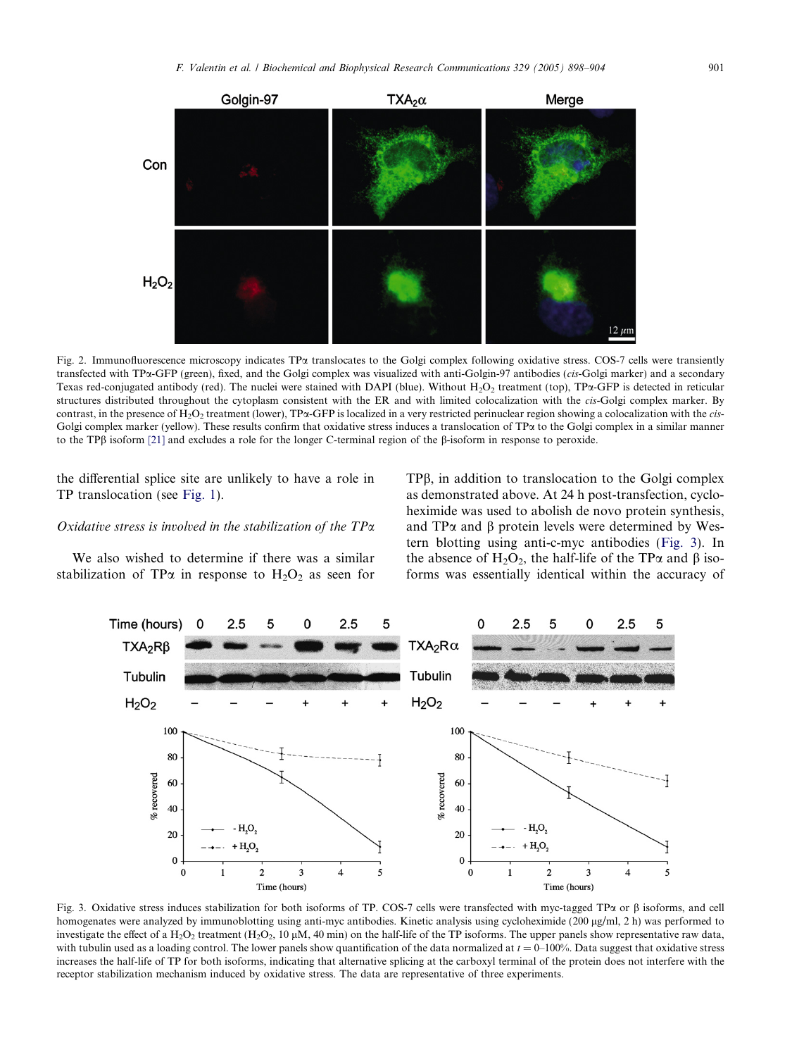<span id="page-3-0"></span>

Fig. 2. Immunofluorescence microscopy indicates TPa translocates to the Golgi complex following oxidative stress. COS-7 cells were transiently transfected with TPa-GFP (green), fixed, and the Golgi complex was visualized with anti-Golgin-97 antibodies (cis-Golgi marker) and a secondary Texas red-conjugated antibody (red). The nuclei were stained with DAPI (blue). Without  $H_2O_2$  treatment (top), TP $\alpha$ -GFP is detected in reticular structures distributed throughout the cytoplasm consistent with the ER and with limited colocalization with the *cis*-Golgi complex marker. By contrast, in the presence of  $H_2O_2$  treatment (lower), TP $\alpha$ -GFP is localized in a very restricted perinuclear region showing a colocalization with the cis-Golgi complex marker (yellow). These results confirm that oxidative stress induces a translocation of TP $\alpha$  to the Golgi complex in a similar manner to the TPb isoform [\[21\]](#page-6-0) and excludes a role for the longer C-terminal region of the b-isoform in response to peroxide.

the differential splice site are unlikely to have a role in TP translocation (see Fig. 1).

#### Oxidative stress is involved in the stabilization of the TPa

We also wished to determine if there was a similar stabilization of TP $\alpha$  in response to H<sub>2</sub>O<sub>2</sub> as seen for

TPb, in addition to translocation to the Golgi complex as demonstrated above. At 24 h post-transfection, cycloheximide was used to abolish de novo protein synthesis, and  $TP\alpha$  and  $\beta$  protein levels were determined by Western blotting using anti-c-myc antibodies (Fig. 3). In the absence of H<sub>2</sub>O<sub>2</sub>, the half-life of the TP $\alpha$  and  $\beta$  isoforms was essentially identical within the accuracy of



Fig. 3. Oxidative stress induces stabilization for both isoforms of TP. COS-7 cells were transfected with myc-tagged TP $\alpha$  or  $\beta$  isoforms, and cell homogenates were analyzed by immunoblotting using anti-myc antibodies. Kinetic analysis using cycloheximide (200 µg/ml, 2 h) was performed to investigate the effect of a H<sub>2</sub>O<sub>2</sub> treatment (H<sub>2</sub>O<sub>2</sub>, 10  $\mu$ M, 40 min) on the half-life of the TP isoforms. The upper panels show representative raw data, with tubulin used as a loading control. The lower panels show quantification of the data normalized at  $t = 0-100\%$ . Data suggest that oxidative stress increases the half-life of TP for both isoforms, indicating that alternative splicing at the carboxyl terminal of the protein does not interfere with the receptor stabilization mechanism induced by oxidative stress. The data are representative of three experiments.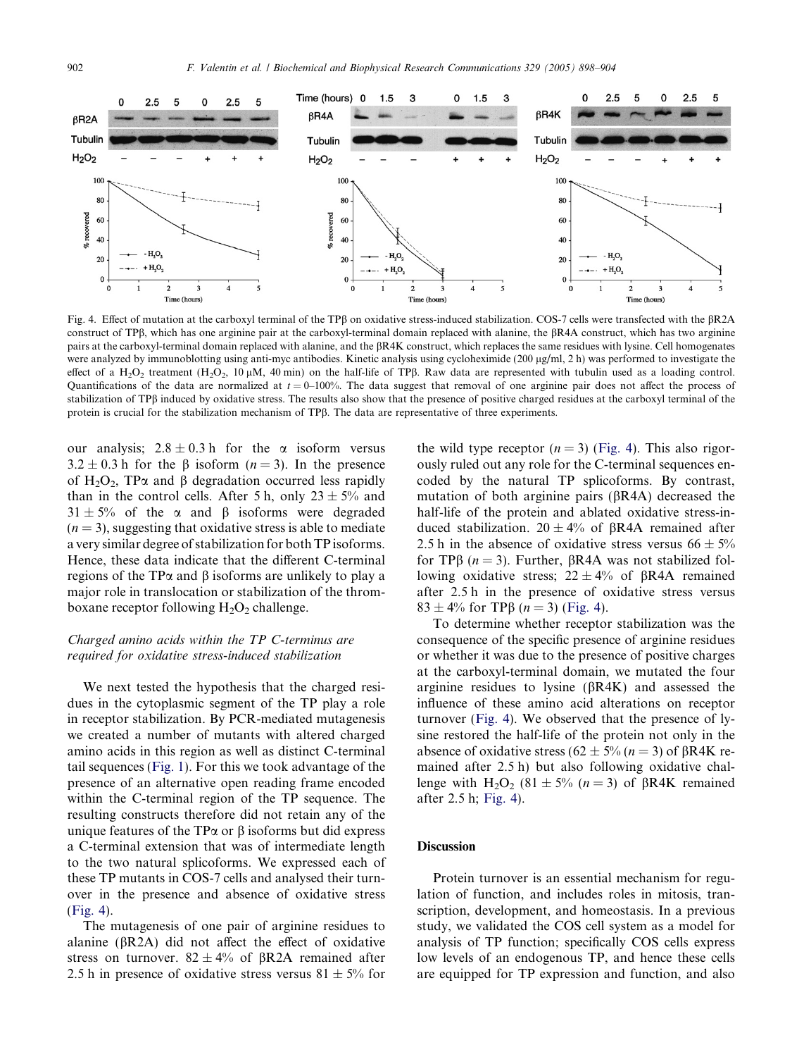

Fig. 4. Effect of mutation at the carboxyl terminal of the TP $\beta$  on oxidative stress-induced stabilization. COS-7 cells were transfected with the  $\beta$ R2A construct of TPB, which has one arginine pair at the carboxyl-terminal domain replaced with alanine, the  $\beta RA$  construct, which has two arginine pairs at the carboxyl-terminal domain replaced with alanine, and the bR4K construct, which replaces the same residues with lysine. Cell homogenates were analyzed by immunoblotting using anti-myc antibodies. Kinetic analysis using cycloheximide (200 µg/ml, 2 h) was performed to investigate the effect of a H<sub>2</sub>O<sub>2</sub> treatment (H<sub>2</sub>O<sub>2</sub>, 10  $\mu$ M, 40 min) on the half-life of TP $\beta$ . Raw data are represented with tubulin used as a loading control. Quantifications of the data are normalized at  $t = 0-100\%$ . The data suggest that removal of one arginine pair does not affect the process of stabilization of TPB induced by oxidative stress. The results also show that the presence of positive charged residues at the carboxyl terminal of the protein is crucial for the stabilization mechanism of TP $\beta$ . The data are representative of three experiments.

our analysis;  $2.8 \pm 0.3$  h for the  $\alpha$  isoform versus  $3.2 \pm 0.3$  h for the  $\beta$  isoform  $(n = 3)$ . In the presence of H<sub>2</sub>O<sub>2</sub>, TP $\alpha$  and  $\beta$  degradation occurred less rapidly than in the control cells. After 5 h, only  $23 \pm 5\%$  and  $31 \pm 5\%$  of the  $\alpha$  and  $\beta$  isoforms were degraded  $(n = 3)$ , suggesting that oxidative stress is able to mediate a very similar degree of stabilization for both TP isoforms. Hence, these data indicate that the different C-terminal regions of the TP $\alpha$  and  $\beta$  isoforms are unlikely to play a major role in translocation or stabilization of the thromboxane receptor following  $H_2O_2$  challenge.

# Charged amino acids within the TP C-terminus are required for oxidative stress-induced stabilization

We next tested the hypothesis that the charged residues in the cytoplasmic segment of the TP play a role in receptor stabilization. By PCR-mediated mutagenesis we created a number of mutants with altered charged amino acids in this region as well as distinct C-terminal tail sequences [\(Fig. 1\)](#page-1-0). For this we took advantage of the presence of an alternative open reading frame encoded within the C-terminal region of the TP sequence. The resulting constructs therefore did not retain any of the unique features of the TP $\alpha$  or  $\beta$  isoforms but did express a C-terminal extension that was of intermediate length to the two natural splicoforms. We expressed each of these TP mutants in COS-7 cells and analysed their turnover in the presence and absence of oxidative stress (Fig. 4).

The mutagenesis of one pair of arginine residues to alanine ( $\beta$ R2A) did not affect the effect of oxidative stress on turnover.  $82 \pm 4\%$  of  $\beta$ R2A remained after 2.5 h in presence of oxidative stress versus  $81 \pm 5\%$  for the wild type receptor  $(n = 3)$  (Fig. 4). This also rigorously ruled out any role for the C-terminal sequences encoded by the natural TP splicoforms. By contrast, mutation of both arginine pairs ( $\beta$ R4A) decreased the half-life of the protein and ablated oxidative stress-induced stabilization.  $20 \pm 4\%$  of BR4A remained after 2.5 h in the absence of oxidative stress versus  $66 \pm 5\%$ for TP $\beta$  (*n* = 3). Further,  $\beta$ R4A was not stabilized following oxidative stress;  $22 \pm 4\%$  of  $\beta$ R4A remained after 2.5 h in the presence of oxidative stress versus  $83 \pm 4\%$  for TP $\beta$  ( $n = 3$ ) (Fig. 4).

To determine whether receptor stabilization was the consequence of the specific presence of arginine residues or whether it was due to the presence of positive charges at the carboxyl-terminal domain, we mutated the four arginine residues to lysine  $(\beta R4K)$  and assessed the influence of these amino acid alterations on receptor turnover (Fig. 4). We observed that the presence of lysine restored the half-life of the protein not only in the absence of oxidative stress (62  $\pm$  5% (n = 3) of BR4K remained after 2.5 h) but also following oxidative challenge with  $H_2O_2$  (81  $\pm$  5% (n = 3) of  $\beta$ R4K remained after 2.5 h; Fig. 4).

# **Discussion**

Protein turnover is an essential mechanism for regulation of function, and includes roles in mitosis, transcription, development, and homeostasis. In a previous study, we validated the COS cell system as a model for analysis of TP function; specifically COS cells express low levels of an endogenous TP, and hence these cells are equipped for TP expression and function, and also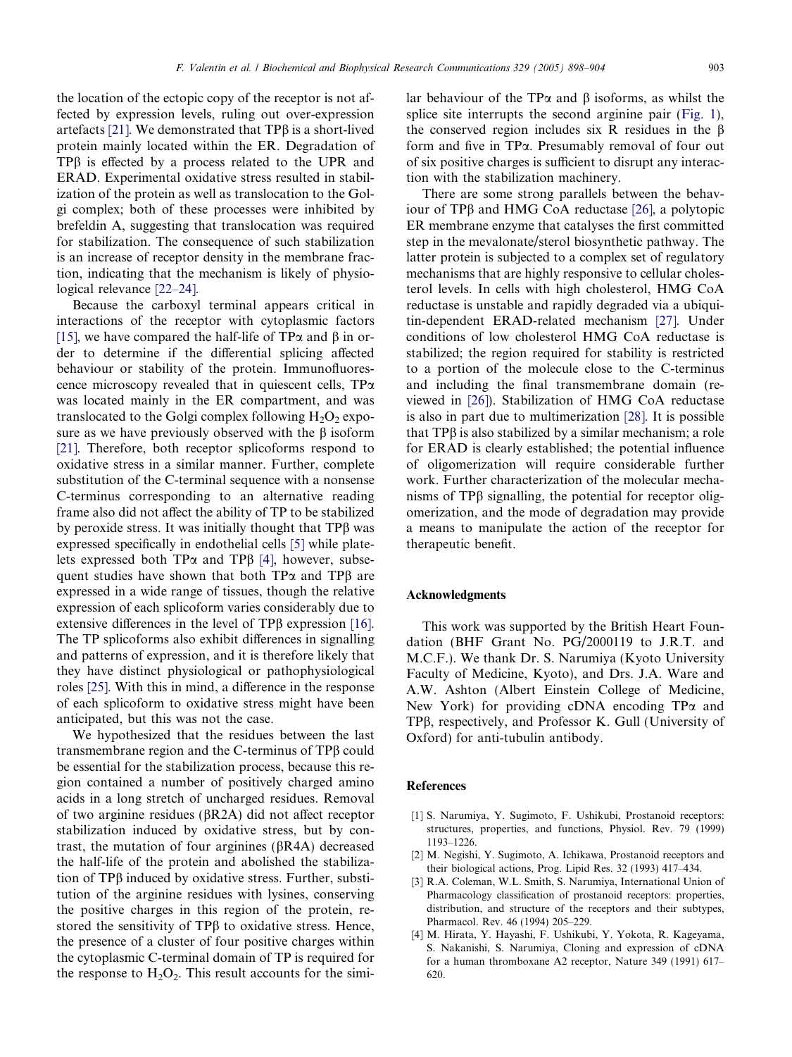<span id="page-5-0"></span>the location of the ectopic copy of the receptor is not affected by expression levels, ruling out over-expression artefacts [\[21\].](#page-6-0) We demonstrated that  $TP\beta$  is a short-lived protein mainly located within the ER. Degradation of TPB is effected by a process related to the UPR and ERAD. Experimental oxidative stress resulted in stabilization of the protein as well as translocation to the Golgi complex; both of these processes were inhibited by brefeldin A, suggesting that translocation was required for stabilization. The consequence of such stabilization is an increase of receptor density in the membrane fraction, indicating that the mechanism is likely of physiological relevance [\[22–24\]](#page-6-0).

Because the carboxyl terminal appears critical in interactions of the receptor with cytoplasmic factors [\[15\],](#page-6-0) we have compared the half-life of TP $\alpha$  and  $\beta$  in order to determine if the differential splicing affected behaviour or stability of the protein. Immunofluorescence microscopy revealed that in quiescent cells,  $TP\alpha$ was located mainly in the ER compartment, and was translocated to the Golgi complex following  $H_2O_2$  exposure as we have previously observed with the  $\beta$  isoform [\[21\].](#page-6-0) Therefore, both receptor splicoforms respond to oxidative stress in a similar manner. Further, complete substitution of the C-terminal sequence with a nonsense C-terminus corresponding to an alternative reading frame also did not affect the ability of TP to be stabilized by peroxide stress. It was initially thought that  $TP\beta$  was expressed specifically in endothelial cells [\[5\]](#page-6-0) while platelets expressed both TP $\alpha$  and TP $\beta$  [4], however, subsequent studies have shown that both  $TP\alpha$  and  $TP\beta$  are expressed in a wide range of tissues, though the relative expression of each splicoform varies considerably due to extensive differences in the level of  $TP\beta$  expression [\[16\].](#page-6-0) The TP splicoforms also exhibit differences in signalling and patterns of expression, and it is therefore likely that they have distinct physiological or pathophysiological roles [\[25\].](#page-6-0) With this in mind, a difference in the response of each splicoform to oxidative stress might have been anticipated, but this was not the case.

We hypothesized that the residues between the last transmembrane region and the C-terminus of TPb could be essential for the stabilization process, because this region contained a number of positively charged amino acids in a long stretch of uncharged residues. Removal of two arginine residues ( $\beta$ R2A) did not affect receptor stabilization induced by oxidative stress, but by contrast, the mutation of four arginines ( $\beta$ R4A) decreased the half-life of the protein and abolished the stabilization of  $TP\beta$  induced by oxidative stress. Further, substitution of the arginine residues with lysines, conserving the positive charges in this region of the protein, restored the sensitivity of TPB to oxidative stress. Hence, the presence of a cluster of four positive charges within the cytoplasmic C-terminal domain of TP is required for the response to  $H_2O_2$ . This result accounts for the similar behaviour of the TP $\alpha$  and  $\beta$  isoforms, as whilst the splice site interrupts the second arginine pair [\(Fig. 1\)](#page-1-0), the conserved region includes six R residues in the  $\beta$ form and five in TPa. Presumably removal of four out of six positive charges is sufficient to disrupt any interaction with the stabilization machinery.

There are some strong parallels between the behaviour of TP $\beta$  and HMG CoA reductase [\[26\],](#page-6-0) a polytopic ER membrane enzyme that catalyses the first committed step in the mevalonate/sterol biosynthetic pathway. The latter protein is subjected to a complex set of regulatory mechanisms that are highly responsive to cellular cholesterol levels. In cells with high cholesterol, HMG CoA reductase is unstable and rapidly degraded via a ubiquitin-dependent ERAD-related mechanism [\[27\]](#page-6-0). Under conditions of low cholesterol HMG CoA reductase is stabilized; the region required for stability is restricted to a portion of the molecule close to the C-terminus and including the final transmembrane domain (reviewed in [\[26\]](#page-6-0)). Stabilization of HMG CoA reductase is also in part due to multimerization [\[28\].](#page-6-0) It is possible that TPb is also stabilized by a similar mechanism; a role for ERAD is clearly established; the potential influence of oligomerization will require considerable further work. Further characterization of the molecular mechanisms of  $TP\beta$  signalling, the potential for receptor oligomerization, and the mode of degradation may provide a means to manipulate the action of the receptor for therapeutic benefit.

#### Acknowledgments

This work was supported by the British Heart Foundation (BHF Grant No. PG/2000119 to J.R.T. and M.C.F.). We thank Dr. S. Narumiya (Kyoto University Faculty of Medicine, Kyoto), and Drs. J.A. Ware and A.W. Ashton (Albert Einstein College of Medicine, New York) for providing cDNA encoding  $TP\alpha$  and TPb, respectively, and Professor K. Gull (University of Oxford) for anti-tubulin antibody.

## References

- [1] S. Narumiya, Y. Sugimoto, F. Ushikubi, Prostanoid receptors: structures, properties, and functions, Physiol. Rev. 79 (1999) 1193–1226.
- [2] M. Negishi, Y. Sugimoto, A. Ichikawa, Prostanoid receptors and their biological actions, Prog. Lipid Res. 32 (1993) 417–434.
- [3] R.A. Coleman, W.L. Smith, S. Narumiya, International Union of Pharmacology classification of prostanoid receptors: properties, distribution, and structure of the receptors and their subtypes, Pharmacol. Rev. 46 (1994) 205–229.
- [4] M. Hirata, Y. Hayashi, F. Ushikubi, Y. Yokota, R. Kageyama, S. Nakanishi, S. Narumiya, Cloning and expression of cDNA for a human thromboxane A2 receptor, Nature 349 (1991) 617– 620.